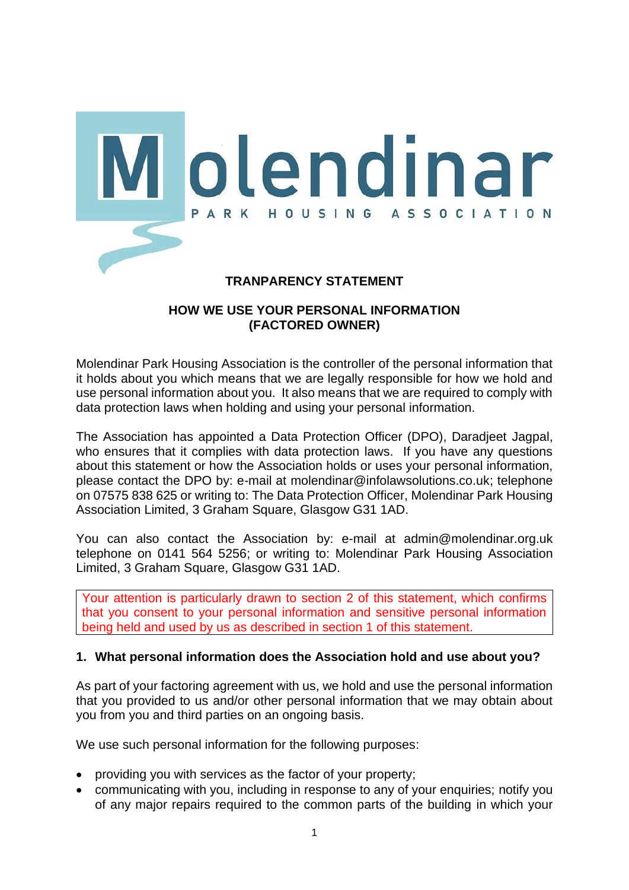

## **HOW WE USE YOUR PERSONAL INFORMATION (FACTORED OWNER)**

Molendinar Park Housing Association is the controller of the personal information that it holds about you which means that we are legally responsible for how we hold and use personal information about you. It also means that we are required to comply with data protection laws when holding and using your personal information.

The Association has appointed a Data Protection Officer (DPO), Daradjeet Jagpal, who ensures that it complies with data protection laws. If you have any questions about this statement or how the Association holds or uses your personal information, please contact the DPO by: e-mail at molendinar@infolawsolutions.co.uk; telephone on 07575 838 625 or writing to: The Data Protection Officer, Molendinar Park Housing Association Limited, 3 Graham Square, Glasgow G31 1AD.

You can also contact the Association by: e-mail at admin@molendinar.org.uk telephone on 0141 564 5256; or writing to: Molendinar Park Housing Association Limited, 3 Graham Square, Glasgow G31 1AD.

Your attention is particularly drawn to section 2 of this statement, which confirms that you consent to your personal information and sensitive personal information being held and used by us as described in section 1 of this statement.

### **1. What personal information does the Association hold and use about you?**

As part of your factoring agreement with us, we hold and use the personal information that you provided to us and/or other personal information that we may obtain about you from you and third parties on an ongoing basis.

We use such personal information for the following purposes:

- providing you with services as the factor of your property;
- communicating with you, including in response to any of your enquiries; notify you of any major repairs required to the common parts of the building in which your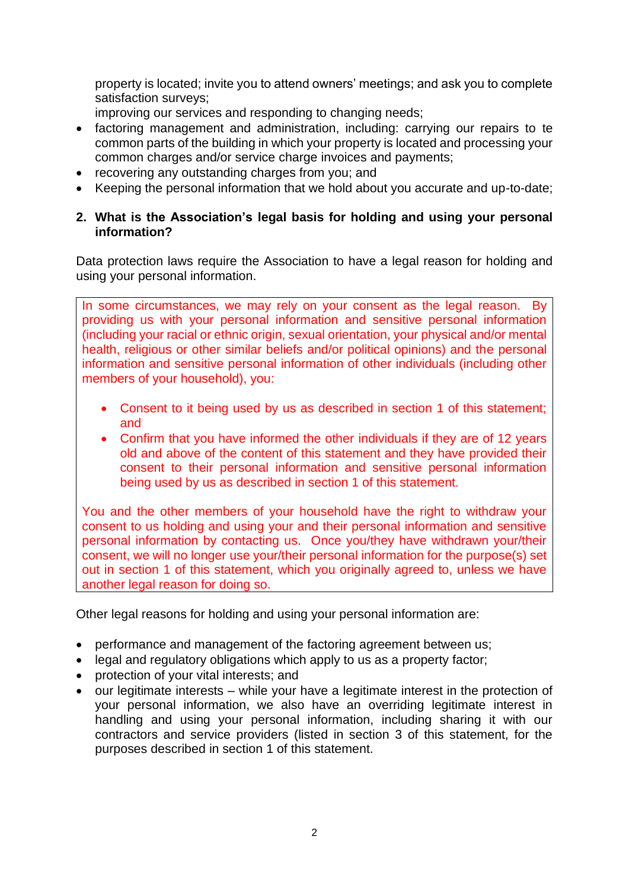property is located; invite you to attend owners' meetings; and ask you to complete satisfaction surveys;

improving our services and responding to changing needs;

- factoring management and administration, including: carrying our repairs to te common parts of the building in which your property is located and processing your common charges and/or service charge invoices and payments;
- recovering any outstanding charges from you; and
- Keeping the personal information that we hold about you accurate and up-to-date;

## **2. What is the Association's legal basis for holding and using your personal information?**

Data protection laws require the Association to have a legal reason for holding and using your personal information.

In some circumstances, we may rely on your consent as the legal reason. By providing us with your personal information and sensitive personal information (including your racial or ethnic origin, sexual orientation, your physical and/or mental health, religious or other similar beliefs and/or political opinions) and the personal information and sensitive personal information of other individuals (including other members of your household), you:

- Consent to it being used by us as described in section 1 of this statement; and
- Confirm that you have informed the other individuals if they are of 12 years old and above of the content of this statement and they have provided their consent to their personal information and sensitive personal information being used by us as described in section 1 of this statement.

You and the other members of your household have the right to withdraw your consent to us holding and using your and their personal information and sensitive personal information by contacting us. Once you/they have withdrawn your/their consent, we will no longer use your/their personal information for the purpose(s) set out in section 1 of this statement, which you originally agreed to, unless we have another legal reason for doing so.

Other legal reasons for holding and using your personal information are:

- performance and management of the factoring agreement between us;
- legal and regulatory obligations which apply to us as a property factor;
- protection of your vital interests; and
- our legitimate interests while your have a legitimate interest in the protection of your personal information, we also have an overriding legitimate interest in handling and using your personal information, including sharing it with our contractors and service providers (listed in section 3 of this statement, for the purposes described in section 1 of this statement.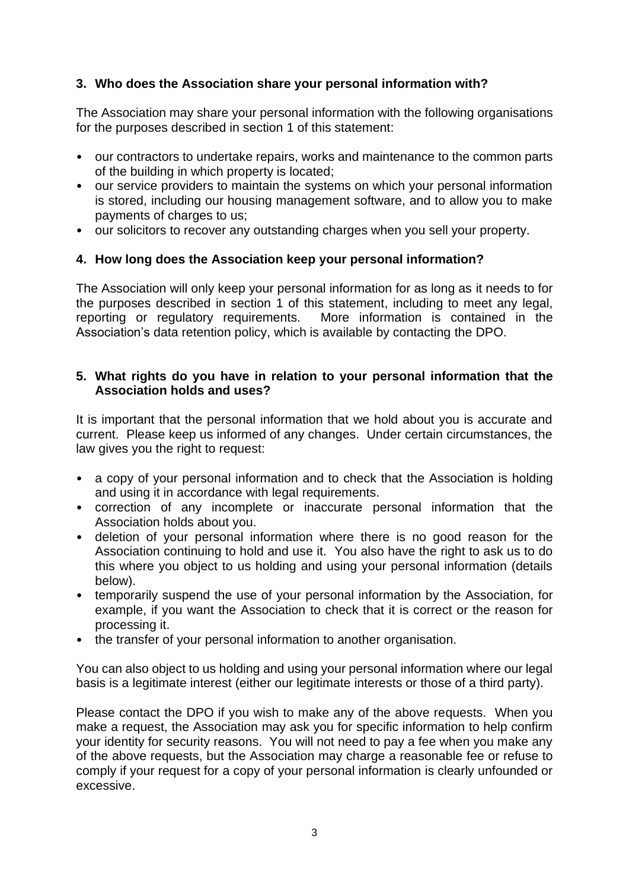# **3. Who does the Association share your personal information with?**

The Association may share your personal information with the following organisations for the purposes described in section 1 of this statement:

- our contractors to undertake repairs, works and maintenance to the common parts of the building in which property is located;
- our service providers to maintain the systems on which your personal information is stored, including our housing management software, and to allow you to make payments of charges to us;
- our solicitors to recover any outstanding charges when you sell your property.

## **4. How long does the Association keep your personal information?**

The Association will only keep your personal information for as long as it needs to for the purposes described in section 1 of this statement, including to meet any legal, reporting or regulatory requirements. More information is contained in the Association's data retention policy, which is available by contacting the DPO.

## **5. What rights do you have in relation to your personal information that the Association holds and uses?**

It is important that the personal information that we hold about you is accurate and current. Please keep us informed of any changes. Under certain circumstances, the law gives you the right to request:

- a copy of your personal information and to check that the Association is holding and using it in accordance with legal requirements.
- correction of any incomplete or inaccurate personal information that the Association holds about you.
- deletion of your personal information where there is no good reason for the Association continuing to hold and use it. You also have the right to ask us to do this where you object to us holding and using your personal information (details below).
- temporarily suspend the use of your personal information by the Association, for example, if you want the Association to check that it is correct or the reason for processing it.
- the transfer of your personal information to another organisation.

You can also object to us holding and using your personal information where our legal basis is a legitimate interest (either our legitimate interests or those of a third party).

Please contact the DPO if you wish to make any of the above requests. When you make a request, the Association may ask you for specific information to help confirm your identity for security reasons. You will not need to pay a fee when you make any of the above requests, but the Association may charge a reasonable fee or refuse to comply if your request for a copy of your personal information is clearly unfounded or excessive.